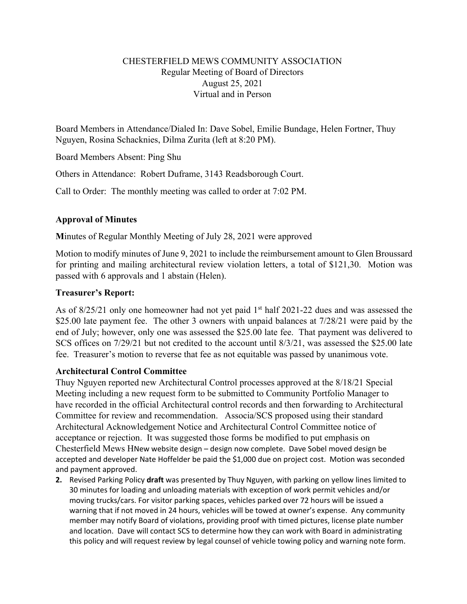## CHESTERFIELD MEWS COMMUNITY ASSOCIATION Regular Meeting of Board of Directors August 25, 2021 Virtual and in Person

Board Members in Attendance/Dialed In: Dave Sobel, Emilie Bundage, Helen Fortner, Thuy Nguyen, Rosina Schacknies, Dilma Zurita (left at 8:20 PM).

Board Members Absent: Ping Shu

Others in Attendance: Robert Duframe, 3143 Readsborough Court.

Call to Order: The monthly meeting was called to order at 7:02 PM.

## **Approval of Minutes**

**M**inutes of Regular Monthly Meeting of July 28, 2021 were approved

Motion to modify minutes of June 9, 2021 to include the reimbursement amount to Glen Broussard for printing and mailing architectural review violation letters, a total of \$121,30. Motion was passed with 6 approvals and 1 abstain (Helen).

## **Treasurer's Report:**

As of 8/25/21 only one homeowner had not yet paid 1<sup>st</sup> half 2021-22 dues and was assessed the \$25.00 late payment fee. The other 3 owners with unpaid balances at  $7/28/21$  were paid by the end of July; however, only one was assessed the \$25.00 late fee. That payment was delivered to SCS offices on 7/29/21 but not credited to the account until 8/3/21, was assessed the \$25.00 late fee. Treasurer's motion to reverse that fee as not equitable was passed by unanimous vote.

## **Architectural Control Committee**

Thuy Nguyen reported new Architectural Control processes approved at the 8/18/21 Special Meeting including a new request form to be submitted to Community Portfolio Manager to have recorded in the official Architectural control records and then forwarding to Architectural Committee for review and recommendation. Associa/SCS proposed using their standard Architectural Acknowledgement Notice and Architectural Control Committee notice of acceptance or rejection. It was suggested those forms be modified to put emphasis on Chesterfield Mews HNew website design – design now complete. Dave Sobel moved design be accepted and developer Nate Hoffelder be paid the \$1,000 due on project cost. Motion was seconded and payment approved.

**2.** Revised Parking Policy **draft** was presented by Thuy Nguyen, with parking on yellow lines limited to 30 minutes for loading and unloading materials with exception of work permit vehicles and/or moving trucks/cars. For visitor parking spaces, vehicles parked over 72 hours will be issued a warning that if not moved in 24 hours, vehicles will be towed at owner's expense. Any community member may notify Board of violations, providing proof with timed pictures, license plate number and location. Dave will contact SCS to determine how they can work with Board in administrating this policy and will request review by legal counsel of vehicle towing policy and warning note form.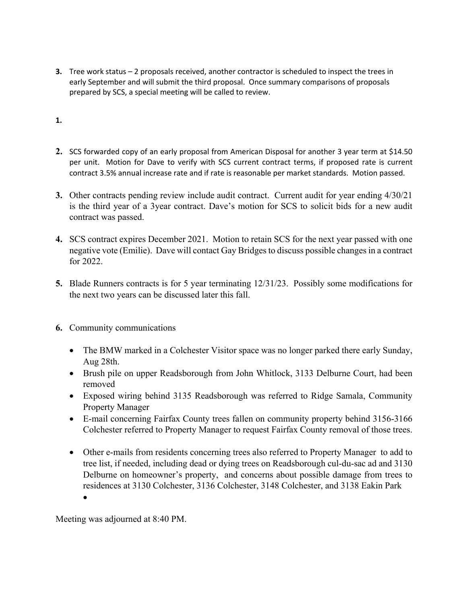- **3.** Tree work status 2 proposals received, another contractor is scheduled to inspect the trees in early September and will submit the third proposal. Once summary comparisons of proposals prepared by SCS, a special meeting will be called to review.
- **1.**
- **2.** SCS forwarded copy of an early proposal from American Disposal for another 3 year term at \$14.50 per unit. Motion for Dave to verify with SCS current contract terms, if proposed rate is current contract 3.5% annual increase rate and if rate is reasonable per market standards. Motion passed.
- **3.** Other contracts pending review include audit contract. Current audit for year ending 4/30/21 is the third year of a 3year contract. Dave's motion for SCS to solicit bids for a new audit contract was passed.
- **4.** SCS contract expires December 2021. Motion to retain SCS for the next year passed with one negative vote (Emilie). Dave will contact Gay Bridges to discuss possible changes in a contract for 2022.
- **5.** Blade Runners contracts is for 5 year terminating 12/31/23. Possibly some modifications for the next two years can be discussed later this fall.
- **6.** Community communications
	- The BMW marked in a Colchester Visitor space was no longer parked there early Sunday, Aug 28th.
	- Brush pile on upper Readsborough from John Whitlock, 3133 Delburne Court, had been removed
	- Exposed wiring behind 3135 Readsborough was referred to Ridge Samala, Community Property Manager
	- E-mail concerning Fairfax County trees fallen on community property behind 3156-3166 Colchester referred to Property Manager to request Fairfax County removal of those trees.
	- Other e-mails from residents concerning trees also referred to Property Manager to add to tree list, if needed, including dead or dying trees on Readsborough cul-du-sac ad and 3130 Delburne on homeowner's property, and concerns about possible damage from trees to residences at 3130 Colchester, 3136 Colchester, 3148 Colchester, and 3138 Eakin Park

Meeting was adjourned at 8:40 PM.

•